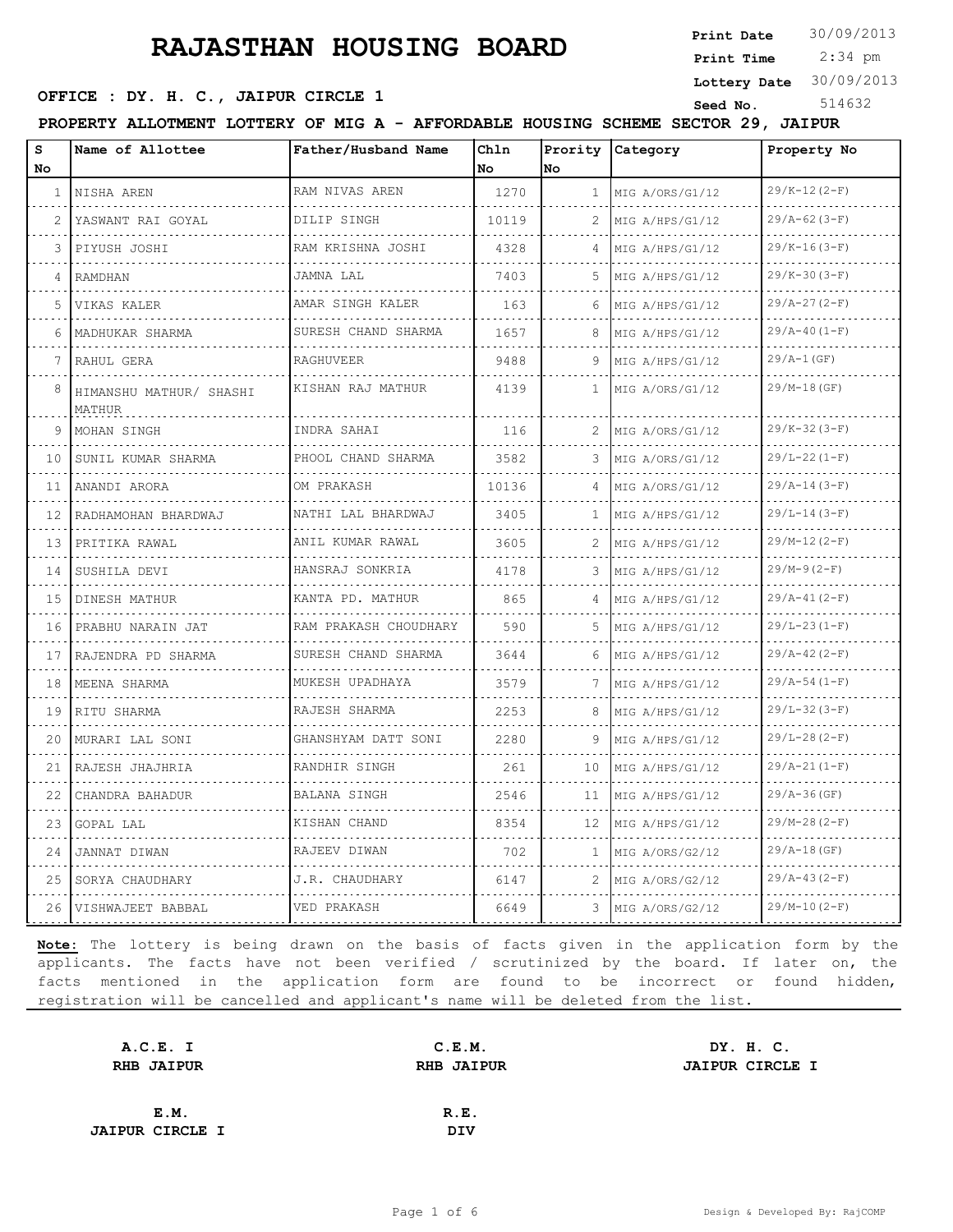**Print Date**  $30/09/2013$ 

 2:34 pm **Print Time**

**Lottery Date** 30/09/2013

### **OFFICE : DY. H. C., JAIPUR CIRCLE 1** Seed No. 514632

**PROPERTY ALLOTMENT LOTTERY OF MIG A - AFFORDABLE HOUSING SCHEME SECTOR 29, JAIPUR**

| S<br>No       | Name of Allottee                  | Father/Husband Name      | Chln<br>No | No           | Prority Category     | Property No         |
|---------------|-----------------------------------|--------------------------|------------|--------------|----------------------|---------------------|
| $\mathbf{1}$  | NISHA AREN                        | RAM NIVAS AREN           | 1270       | 1            | MIG A/ORS/G1/12      | $29/K-12(2-F)$      |
| $\mathcal{L}$ | .<br>YASWANT RAI GOYAL            | .<br>DILIP SINGH         | 10119      | 2            | .<br>MIG A/HPS/G1/12 | .<br>$29/A-62(3-F)$ |
| 3             | PIYUSH JOSHI                      | RAM KRISHNA JOSHI        | 4328       |              | .<br>MIG A/HPS/G1/12 | $29/K-16(3-F)$      |
| 4             | RAMDHAN                           | JAMNA LAL                | 7403       | 5            | MIG A/HPS/G1/12      | $29/K-30(3-F)$      |
| 5.            | VIKAS KALER                       | AMAR SINGH KALER         | 163        | 6            | MIG A/HPS/G1/12      | $29/A-27(2-F)$      |
| 6             | MADHUKAR SHARMA                   | .<br>SURESH CHAND SHARMA | 1657       | 8            | .<br>MIG A/HPS/G1/12 | $29/A-40(I-F)$      |
|               | RAHUL GERA                        | <b>RAGHUVEER</b>         | 9488       |              | MIG A/HPS/G1/12      | $29/A-1(GF)$        |
| 8             | HIMANSHU MATHUR/ SHASHI<br>MATHUR | KISHAN RAJ MATHUR        | 4139       | $\mathbf{1}$ | MIG A/ORS/G1/12      | $29/M-18(GF)$       |
| 9             | MOHAN SINGH                       | INDRA SAHAI              | 116        | 2            | MIG A/ORS/G1/12      | $29/K-32(3-F)$      |
| 10            | SUNIL KUMAR SHARMA                | PHOOL CHAND SHARMA       | 3582       | 3            | MIG A/ORS/G1/12      | $29/L-22(1-F)$      |
| 11            | ANANDI ARORA                      | OM PRAKASH               | 10136      | 4            | MIG A/ORS/G1/12      | $29/A-14(3-F)$      |
| 12            | RADHAMOHAN BHARDWAJ               | NATHI LAL BHARDWAJ       | 3405       | 1            | MIG A/HPS/G1/12      | $29/L-14(3-F)$      |
| 13            | PRITIKA RAWAL                     | ANIL KUMAR RAWAL         | 3605       | 2            | MIG A/HPS/G1/12      | $29/M-12(2-F)$      |
| 14            | SUSHILA DEVI                      | HANSRAJ SONKRIA<br>.     | 4178       | 3            | MIG A/HPS/G1/12      | $29/M-9(2-F)$       |
| 15            | DINESH MATHUR                     | KANTA PD. MATHUR         | 865        | 4            | MIG A/HPS/G1/12<br>. | $29/A-41(2-F)$      |
| 16            | PRABHU NARAIN JAT                 | RAM PRAKASH CHOUDHARY    | 590        | 5            | MIG A/HPS/G1/12      | $29/L-23(L-F)$      |
| 17            | RAJENDRA PD SHARMA                | SURESH CHAND SHARMA      | 3644       | 6            | MIG A/HPS/G1/12      | $29/A-42(2-F)$      |
| 18            | MEENA SHARMA<br>.                 | MUKESH UPADHAYA<br>.     | 3579       | 7            | MIG A/HPS/G1/12<br>. | $29/A-54(1-F)$<br>. |
| 19            | RITU SHARMA                       | RAJESH SHARMA<br>.       | 2253       | 8            | MIG A/HPS/G1/12      | $29/L-32(3-F)$      |
| 20            | MURARI LAL SONI                   | GHANSHYAM DATT SONI      | 2280       | 9            | MIG A/HPS/G1/12      | $29/L - 28 (2 - F)$ |
| 21            | RAJESH JHAJHRIA                   | RANDHIR SINGH<br>.       | 261        | 10           | MIG A/HPS/G1/12      | $29/A-21(I-F)$      |
| 22            | CHANDRA BAHADUR                   | BALANA SINGH             | 2546       | 11           | MIG A/HPS/G1/12      | $29/A-36$ (GF)      |
| 23            | GOPAL LAL                         | KISHAN CHAND             | 8354       | 12           | MIG A/HPS/G1/12      | $29/M-28(2-F)$      |
| 24            | JANNAT DIWAN                      | RAJEEV DIWAN             | 702        | -1.          | MIG A/ORS/G2/12      | $29/A-18(GF)$       |
| 25            | SORYA CHAUDHARY                   | J.R. CHAUDHARY           | 6147       | 2            | MIG A/ORS/G2/12<br>. | $29/A-43(2-F)$      |
| 26            | VISHWAJEET BABBAL                 | VED PRAKASH              | 6649       | 3            | MIG A/ORS/G2/12      | $29/M-10(2-F)$      |

| A.C.E. I               | C.E.M.            |                        | DY. H. C. |  |
|------------------------|-------------------|------------------------|-----------|--|
| <b>RHB JAIPUR</b>      | <b>RHB JAIPUR</b> | <b>JAIPUR CIRCLE I</b> |           |  |
|                        |                   |                        |           |  |
| E.M.                   | R.E.              |                        |           |  |
| <b>JAIPUR CIRCLE I</b> | <b>DIV</b>        |                        |           |  |
|                        |                   |                        |           |  |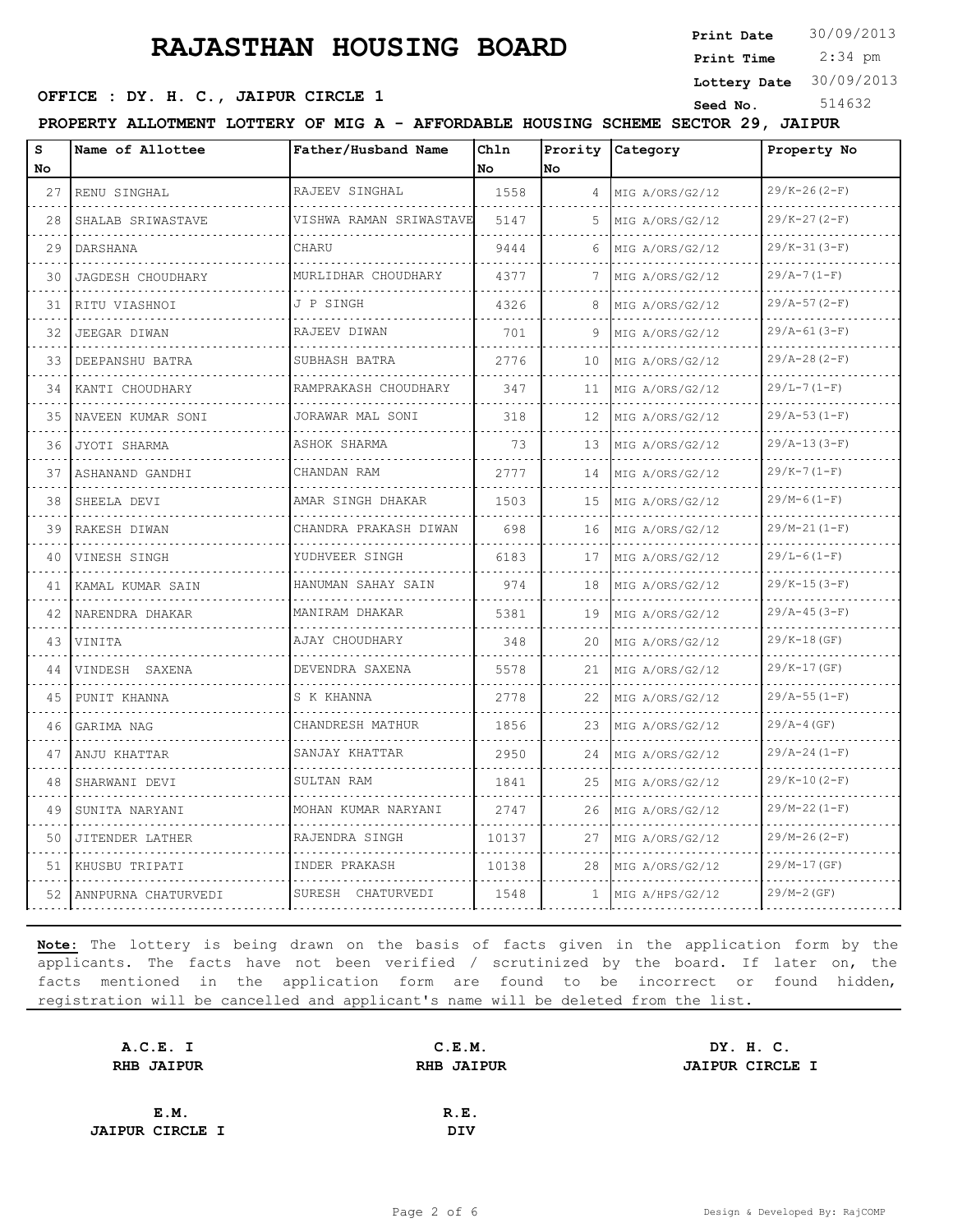**Print Date**  $30/09/2013$ 

 2:34 pm **Print Time Lottery Date** 30/09/2013

### **OFFICE : DY. H. C., JAIPUR CIRCLE 1** Seed No. 514632

**PROPERTY ALLOTMENT LOTTERY OF MIG A - AFFORDABLE HOUSING SCHEME SECTOR 29, JAIPUR**

| S<br>No. | Name of Allottee         | Father/Husband Name               | Chln<br>No | No             | Prority Category | Property No         |
|----------|--------------------------|-----------------------------------|------------|----------------|------------------|---------------------|
| 27       | RENU SINGHAL             | RAJEEV SINGHAL                    | 1558       | $\overline{4}$ | MIG A/ORS/G2/12  | $29/K - 26(2-F)$    |
| 28       | .<br>SHALAB SRIWASTAVE   | .<br>VISHWA RAMAN SRIWASTAVE      | 5147       | .5             | MIG A/ORS/G2/12  | .<br>$29/K-27(2-F)$ |
| 29       | DARSHANA                 | CHARU                             | 9444       | 6              | MIG A/ORS/G2/12  | $29/K-31(3-F)$      |
| 30       | <b>JAGDESH CHOUDHARY</b> | MURLIDHAR CHOUDHARY               | 4377       | 7              | MIG A/ORS/G2/12  | $29/A-7(1-F)$       |
| 31       | RITU VIASHNOI            | J P SINGH                         | 4326       |                | MIG A/ORS/G2/12  | $29/A-57(2-F)$      |
| 32       | JEEGAR DIWAN             | RAJEEV DIWAN                      | 701        | 9              | MIG A/ORS/G2/12  | $29/A-61(3-F)$      |
| 33       | DEEPANSHU BATRA          | SUBHASH BATRA                     | 2776       | 10             | MIG A/ORS/G2/12  | $29/A-28(2-F)$      |
| 34       | KANTI CHOUDHARY          | .<br>RAMPRAKASH CHOUDHARY         | 347        | 11             | MIG A/ORS/G2/12  | $29/L-7(1-F)$       |
| 35       | NAVEEN KUMAR SONI        | JORAWAR MAL SONI                  | 318        | 12             | MIG A/ORS/G2/12  | $29/A-53(I-F)$      |
| 36       | JYOTI SHARMA             | ASHOK SHARMA                      | 73         | 13             | MIG A/ORS/G2/12  | $29/A-13(3-F)$      |
| 37       | ASHANAND GANDHI          | CHANDAN RAM                       | 2777       | 14             | MIG A/ORS/G2/12  | $29/K-7(1-F)$       |
| 38       | SHEELA DEVI              | AMAR SINGH DHAKAR                 | 1503       | 15             | MIG A/ORS/G2/12  | $29/M-6(1-F)$       |
| 39       | RAKESH DIWAN             | CHANDRA PRAKASH DIWAN<br><u>.</u> | 698        | 16             | MIG A/ORS/G2/12  | $29/M-21(1-F)$      |
| 40       | VINESH SINGH             | YUDHVEER SINGH                    | 6183       | 17             | MIG A/ORS/G2/12  | $29/L-6(1-F)$       |
| 41       | KAMAL KUMAR SAIN         | HANUMAN SAHAY SAIN                | 974        | 18             | MIG A/ORS/G2/12  | $29/K-15(3-F)$      |
| 42       | NARENDRA DHAKAR          | MANIRAM DHAKAR<br>.               | 5381       | 19             | MIG A/ORS/G2/12  | $29/A - 45(3-F)$    |
| 43       | VINITA                   | AJAY CHOUDHARY                    | 348        | 20             | MIG A/ORS/G2/12  | $29/K-18(GF)$       |
| 44       | VINDESH SAXENA           | DEVENDRA SAXENA                   | 5578       | 21             | MIG A/ORS/G2/12  | $29/K-17(GF)$       |
| 45       | PUNIT KHANNA             | S K KHANNA                        | 2778       | 22             | MIG A/ORS/G2/12  | $29/A-55(1-F)$      |
| 46       | GARIMA NAG               | CHANDRESH MATHUR                  | 1856       | 23             | MIG A/ORS/G2/12  | $29/A-4(GF)$        |
| 47       | ANJU KHATTAR             | SANJAY KHATTAR                    | 2950       | 24             | MIG A/ORS/G2/12  | $29/A - 24(1-F)$    |
| 48       | SHARWANI DEVI            | SULTAN RAM                        | 1841       | 25             | MIG A/ORS/G2/12  | $29/K-10(2-F)$      |
| 49       | SUNITA NARYANI           | MOHAN KUMAR NARYANI               | 2747       | 26             | MIG A/ORS/G2/12  | $29/M-22(1-F)$      |
| 50       | JITENDER LATHER          | RAJENDRA SINGH                    | 10137      | 27             | MIG A/ORS/G2/12  | $29/M-26(2-F)$      |
| 51       | KHUSBU TRIPATI           | INDER PRAKASH                     | 10138      | 28             | MIG A/ORS/G2/12  | $29/M-17(GF)$       |
| 52       | ANNPURNA CHATURVEDI      | SURESH CHATURVEDI                 | 1548       | $\mathbf{1}$   | MIG A/HPS/G2/12  | $29/M-2(GF)$        |

| A.C.E. I               | C.E.M.            |  |                                     |
|------------------------|-------------------|--|-------------------------------------|
| <b>RHB JAIPUR</b>      | <b>RHB JAIPUR</b> |  |                                     |
|                        |                   |  |                                     |
| E.M.                   | R.E.              |  |                                     |
| <b>JAIPUR CIRCLE I</b> | <b>DIV</b>        |  |                                     |
|                        |                   |  | DY. H. C.<br><b>JAIPUR CIRCLE I</b> |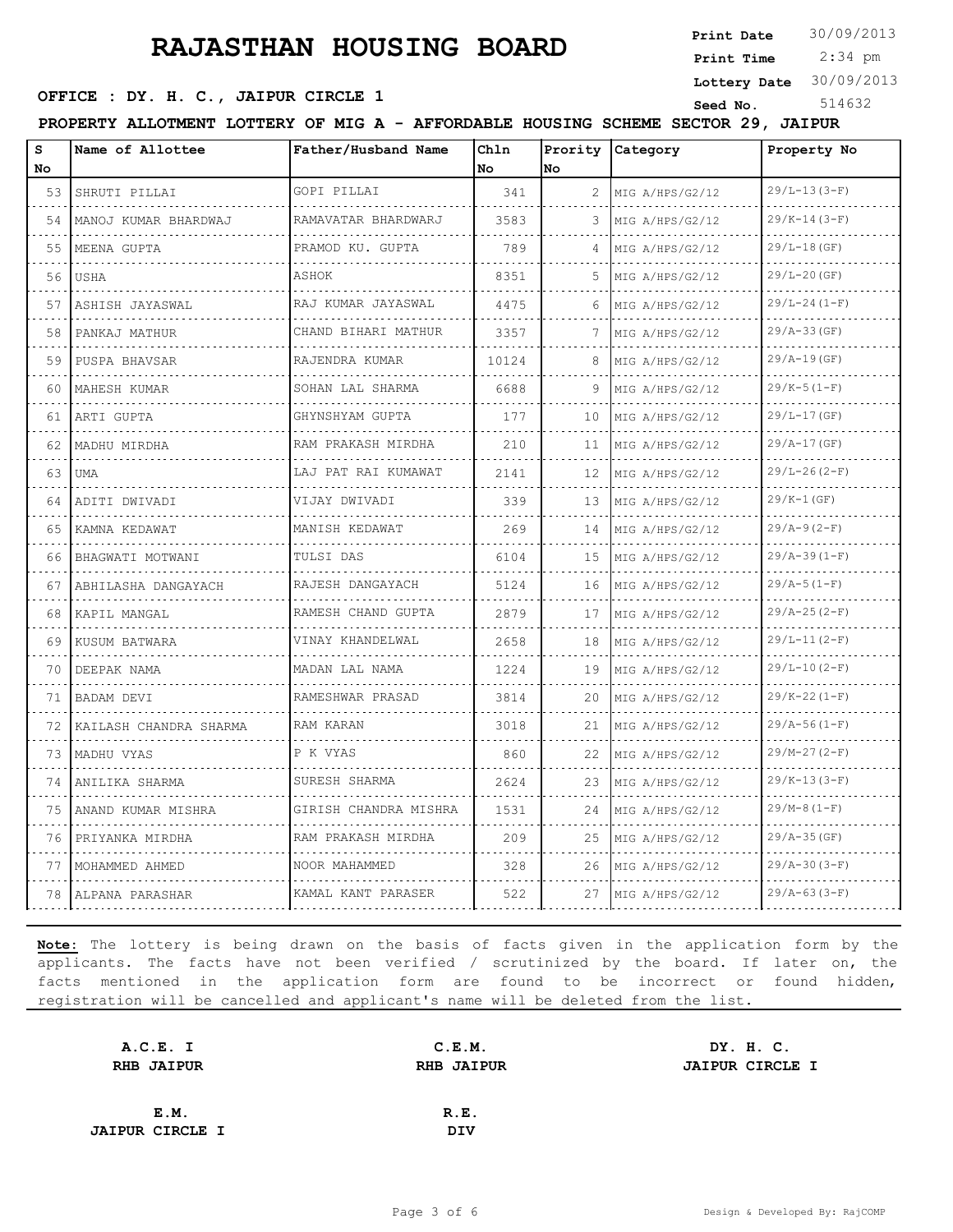**Print Date**  $30/09/2013$ 

 2:34 pm **Print Time Lottery Date** 30/09/2013

### **OFFICE : DY. H. C., JAIPUR CIRCLE 1** Seed No. 514632

**PROPERTY ALLOTMENT LOTTERY OF MIG A - AFFORDABLE HOUSING SCHEME SECTOR 29, JAIPUR**

| s<br>No. | Name of Allottee       | Father/Husband Name      | Chln<br>No | Prority<br>No | <b>Category</b>      | Property No      |
|----------|------------------------|--------------------------|------------|---------------|----------------------|------------------|
| 53       | SHRUTI PILLAI          | GOPI PILLAI              | 341        | 2             | MIG A/HPS/G2/12      | $29/L-13(3-F)$   |
| 54       | MANOJ KUMAR BHARDWAJ   | RAMAVATAR BHARDWARJ<br>. | 3583       | 3             | MIG A/HPS/G2/12      | $29/K-14(3-F)$   |
| 55       | MEENA GUPTA            | PRAMOD KU. GUPTA         | 789        | 4             | MIG A/HPS/G2/12      | $29/L-18$ (GF)   |
| 56       | USHA                   | ASHOK                    | 8351       | 5             | MIG A/HPS/G2/12      | $29/L - 20$ (GF) |
| 57       | ASHISH JAYASWAL        | RAJ KUMAR JAYASWAL       | 4475       | 6             | MIG A/HPS/G2/12      | $29/L - 24(1-F)$ |
| 58       | PANKAJ MATHUR          | .<br>CHAND BIHARI MATHUR | 3357       | 7             | .<br>MIG A/HPS/G2/12 | $29/A-33(GF)$    |
| 59       | PUSPA BHAVSAR          | RAJENDRA KUMAR           | 10124      | 8             | MIG A/HPS/G2/12      | $29/A-19(GF)$    |
| 60       | MAHESH KUMAR           | SOHAN LAL SHARMA         | 6688       | 9             | MIG A/HPS/G2/12      | $29/K-5(1-F)$    |
| 61       | ARTI GUPTA             | .<br>GHYNSHYAM GUPTA     | 177        | 10            | MIG A/HPS/G2/12      | $29/L-17(GF)$    |
| 62       | MADHU MIRDHA           | RAM PRAKASH MIRDHA       | 210        | 11            | MIG A/HPS/G2/12      | $29/A-17(GF)$    |
| 63       | <b>UMA</b>             | .<br>LAJ PAT RAI KUMAWAT | 2141       | 12            | MIG A/HPS/G2/12      | $29/L - 26(2-F)$ |
| 64       | ADITI DWIVADI          | VIJAY DWIVADI            | 339        | 13            | MIG A/HPS/G2/12      | $29/K-1(GF)$     |
| 65       | KAMNA KEDAWAT          | MANISH KEDAWAT           | 269        | 14            | MIG A/HPS/G2/12      | $29/A-9(2-F)$    |
| 66       | BHAGWATI MOTWANI       | TULSI DAS                | 6104       | 15            | MIG A/HPS/G2/12      | $29/A-39(1-F)$   |
| 67       | ABHILASHA DANGAYACH    | RAJESH DANGAYACH         | 5124       | 16            | MIG A/HPS/G2/12      | $29/A-5(1-F)$    |
| 68       | KAPIL MANGAL           | RAMESH CHAND GUPTA       | 2879       | 17            | MIG A/HPS/G2/12      | $29/A-25(2-F)$   |
| 69       | KUSUM BATWARA          | .<br>VINAY KHANDELWAL    | 2658       | 18            | MIG A/HPS/G2/12      | $29/L-11(2-F)$   |
| 70       | DEEPAK NAMA            | MADAN LAL NAMA           | 1224       | 19            | MIG A/HPS/G2/12      | $29/L-10(2-F)$   |
| 71       | BADAM DEVI             | RAMESHWAR PRASAD         | 3814       | 20            | MIG A/HPS/G2/12      | $29/K-22(1-F)$   |
| 72       | KAILASH CHANDRA SHARMA | RAM KARAN                | 3018       | 21            | MIG A/HPS/G2/12      | $29/A-56(1-F)$   |
| 73       | MADHU VYAS             | P K VYAS                 | 860        | 22            | MIG A/HPS/G2/12      | $29/M-27(2-F)$   |
| 74       | ANILIKA SHARMA         | SURESH SHARMA            | 2624       | 23            | MIG A/HPS/G2/12      | $29/K-13(3-F)$   |
| 75       | ANAND KUMAR MISHRA     | GIRISH CHANDRA MISHRA    | 1531       | 24            | MIG A/HPS/G2/12      | $29/M-8(1-F)$    |
| 76       | PRIYANKA MIRDHA        | RAM PRAKASH MIRDHA       | 209        | 25            | MIG A/HPS/G2/12      | $29/A-35(GF)$    |
| 77       | MOHAMMED AHMED         | NOOR MAHAMMED            | 328        | 26            | MIG A/HPS/G2/12      | $29/A-30(3-F)$   |
| 78       | ALPANA PARASHAR        | KAMAL KANT PARASER       | 522        | 27            | MIG A/HPS/G2/12      | $29/A-63(3-F)$   |

| A.C.E. I               | C.E.M.            |  |                                     |
|------------------------|-------------------|--|-------------------------------------|
| <b>RHB JAIPUR</b>      | <b>RHB JAIPUR</b> |  |                                     |
|                        |                   |  |                                     |
| E.M.                   | R.E.              |  |                                     |
| <b>JAIPUR CIRCLE I</b> | <b>DIV</b>        |  |                                     |
|                        |                   |  | DY. H. C.<br><b>JAIPUR CIRCLE I</b> |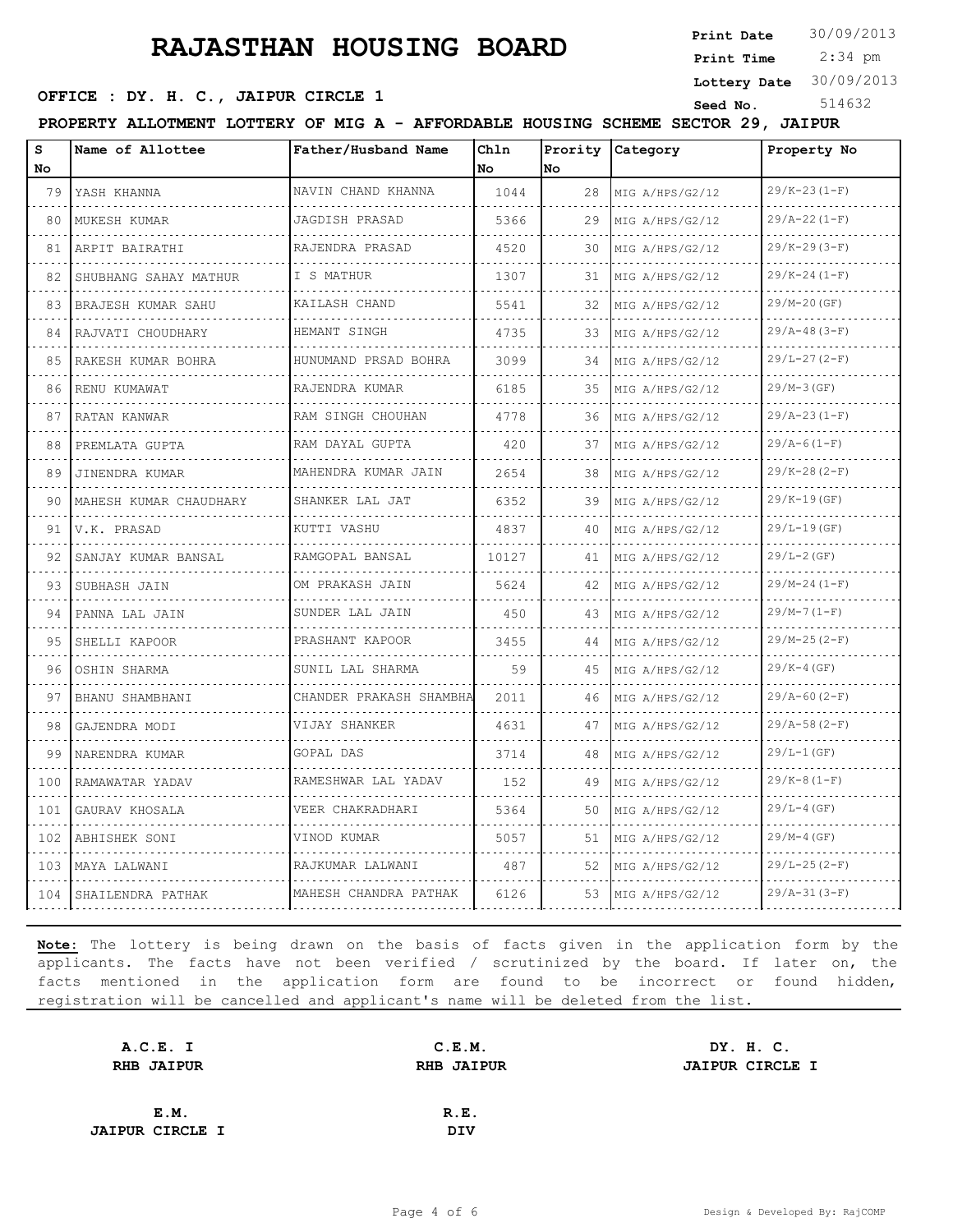**Print Date**  $30/09/2013$ 

 2:34 pm **Print Time Lottery Date** 30/09/2013

# **OFFICE : DY. H. C., JAIPUR CIRCLE 1** Seed No. 514632

**PROPERTY ALLOTMENT LOTTERY OF MIG A - AFFORDABLE HOUSING SCHEME SECTOR 29, JAIPUR**

| s<br><b>No</b> | Name of Allottee       | Father/Husband Name         | Chln<br>No. | No. | Prority Category     | Property No      |
|----------------|------------------------|-----------------------------|-------------|-----|----------------------|------------------|
| 79             | YASH KHANNA            | NAVIN CHAND KHANNA          | 1044        | 28  | MIG A/HPS/G2/12      | $29/K-23(1-F)$   |
| 80             | .<br>MUKESH KUMAR      | .<br>JAGDISH PRASAD         | 5366        | 29  | .<br>MIG A/HPS/G2/12 | $29/A-22(1-F)$   |
| 81             | ARPIT BAIRATHI         | RAJENDRA PRASAD             | 4520        | 30  | MIG A/HPS/G2/12      | $29/K-29(3-F)$   |
| 82             | SHUBHANG SAHAY MATHUR  | I S MATHUR                  | 1307        | 31  | MIG A/HPS/G2/12      | $29/K-24(1-F)$   |
| 83             | BRAJESH KUMAR SAHU     | KAILASH CHAND               | 5541        | 32  | MIG A/HPS/G2/12      | $29/M-20(GF)$    |
| 84             | RAJVATI CHOUDHARY      | HEMANT SINGH                | 4735        | 33  | MIG A/HPS/G2/12      | $29/A-48(3-F)$   |
| 85             | RAKESH KUMAR BOHRA     | HUNUMAND PRSAD BOHRA        | 3099        | 34  | MIG A/HPS/G2/12      | $29/L-27(2-F)$   |
| 86             | RENU KUMAWAT           | RAJENDRA KUMAR              | 6185        | 35  | MIG A/HPS/G2/12      | $29/M-3(GF)$     |
| 87             | RATAN KANWAR           | RAM SINGH CHOUHAN           | 4778        | 36  | MIG A/HPS/G2/12      | $29/A-23(I-F)$   |
| 88             | PREMLATA GUPTA         | RAM DAYAL GUPTA             | 420         | 37  | MIG A/HPS/G2/12      | $29/A-6(1-F)$    |
| 89             | JINENDRA KUMAR         | MAHENDRA KUMAR JAIN         | 2654        | 38  | MIG A/HPS/G2/12      | $29/K-28(2-F)$   |
| 90             | MAHESH KUMAR CHAUDHARY | SHANKER LAL JAT             | 6352        | 39  | MIG A/HPS/G2/12      | $29/K-19(GF)$    |
| 91             | V.K. PRASAD            | KUTTI VASHU                 | 4837        | 40  | MIG A/HPS/G2/12      | $29/L-19(GF)$    |
| 92             | SANJAY KUMAR BANSAL    | RAMGOPAL BANSAL             | 10127       | 41  | MIG A/HPS/G2/12      | $29/L - 2$ (GF)  |
| 93             | SUBHASH JAIN           | OM PRAKASH JAIN             | 5624        | 42  | MIG A/HPS/G2/12      | $29/M-24(1-F)$   |
| 94             | PANNA LAL JAIN         | SUNDER LAL JAIN<br><u>.</u> | 450         | 43  | MIG A/HPS/G2/12      | $29/M-7(1-F)$    |
| 95             | SHELLI KAPOOR          | PRASHANT KAPOOR             | 3455        | 44  | MIG A/HPS/G2/12      | $29/M-25(2-F)$   |
| 96             | OSHIN SHARMA           | SUNIL LAL SHARMA            | 59          | 45  | MIG A/HPS/G2/12      | $29/K-4(GF)$     |
| 97             | BHANU SHAMBHANI        | CHANDER PRAKASH SHAMBHA     | 2011        | 46  | MIG A/HPS/G2/12      | $29/A-60(2-F)$   |
| 98             | GAJENDRA MODI          | VIJAY SHANKER               | 4631        | 47  | MIG A/HPS/G2/12      | $29/A-58(2-F)$   |
| 99             | NARENDRA KUMAR         | <b>GOPAL DAS</b>            | 3714        | 48  | MIG A/HPS/G2/12      | $29/L-1(GF)$     |
| 100            | RAMAWATAR YADAV        | RAMESHWAR LAL YADAV         | 152         | 49  | MIG A/HPS/G2/12      | $29/K-8(1-F)$    |
| 101            | GAURAV KHOSALA         | VEER CHAKRADHARI            | 5364        | 50  | MIG A/HPS/G2/12      | $29/L-4$ (GF)    |
| 102            | ABHISHEK SONI          | VINOD KUMAR                 | 5057        | 51  | MIG A/HPS/G2/12      | $29/M-4(GF)$     |
| 103            | MAYA LALWANI           | RAJKUMAR LALWANI            | 487         | 52  | MIG A/HPS/G2/12      | $29/L - 25(2-F)$ |
| 104            | SHAILENDRA PATHAK      | MAHESH CHANDRA PATHAK       | 6126        | 53  | MIG A/HPS/G2/12      | $29/A-31(3-F)$   |

| A.C.E. I               | C.E.M.            |  |                                     |
|------------------------|-------------------|--|-------------------------------------|
| <b>RHB JAIPUR</b>      | <b>RHB JAIPUR</b> |  |                                     |
|                        |                   |  |                                     |
| E.M.                   | R.E.              |  |                                     |
| <b>JAIPUR CIRCLE I</b> | <b>DIV</b>        |  |                                     |
|                        |                   |  | DY. H. C.<br><b>JAIPUR CIRCLE I</b> |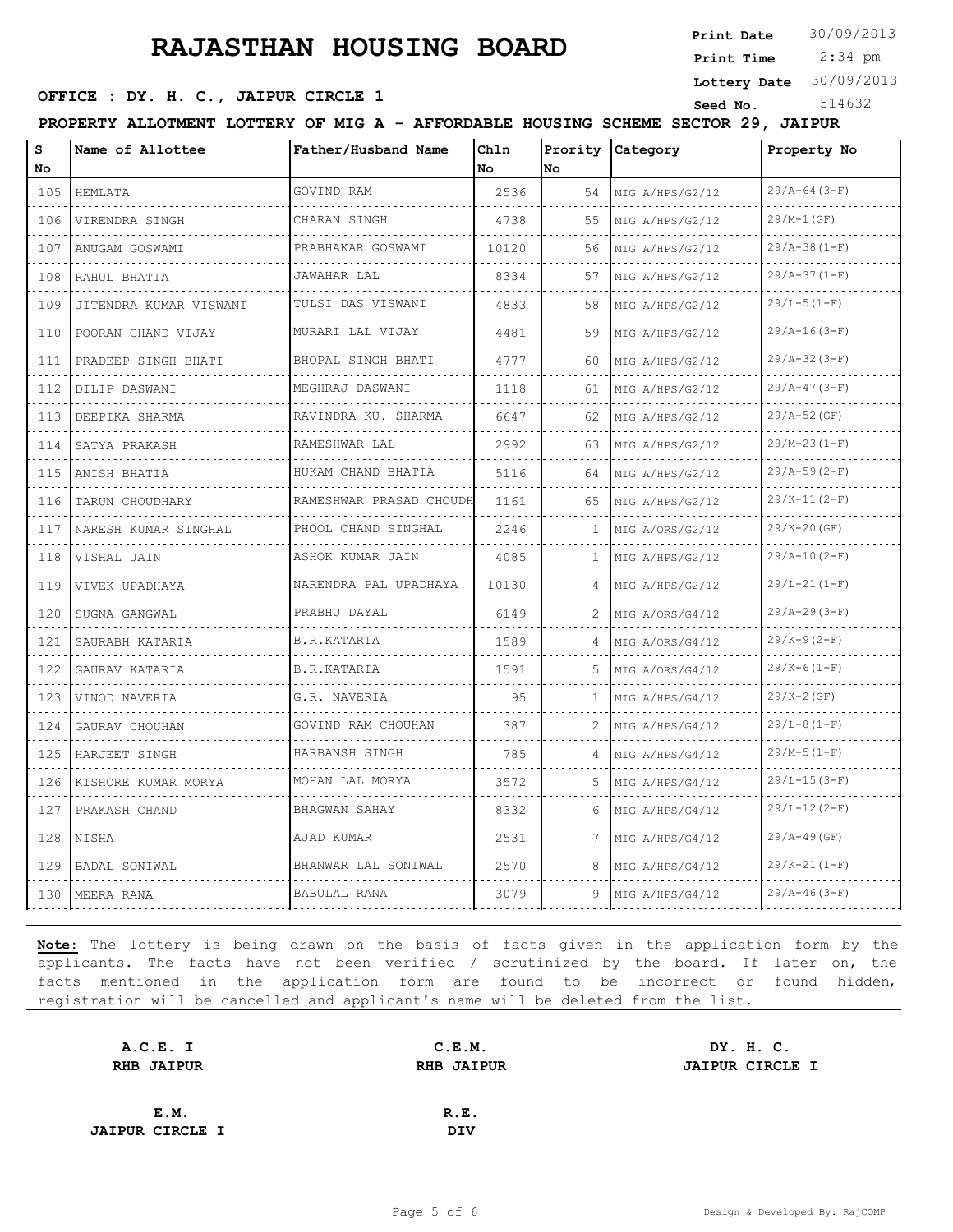**Print Date**  $30/09/2013$ 

 2:34 pm **Print Time Lottery Date** 30/09/2013

### **OFFICE : DY. H. C., JAIPUR CIRCLE 1** Seed No. 514632

**PROPERTY ALLOTMENT LOTTERY OF MIG A - AFFORDABLE HOUSING SCHEME SECTOR 29, JAIPUR**

| s<br>No                            | Name of Allottee       | Father/Husband Name          | Chln<br><b>No</b> | Prority<br>No | Category        | Property No      |
|------------------------------------|------------------------|------------------------------|-------------------|---------------|-----------------|------------------|
| 105                                | HEMLATA                | GOVIND RAM                   | 2536              | 54            | MIG A/HPS/G2/12 | $29/A-64(3-F)$   |
| 106                                | VIRENDRA SINGH         | CHARAN SINGH                 | 4738              | 55            | MIG A/HPS/G2/12 | $29/M-1(GF)$     |
| 107                                | ANUGAM GOSWAMI         | PRABHAKAR GOSWAMI            | 10120             | 56            | MIG A/HPS/G2/12 | $29/A-38(1-F)$   |
| 108                                | RAHUL BHATIA           | JAWAHAR LAL                  | 8334              | 57            | MIG A/HPS/G2/12 | $29/A-37(1-F)$   |
| .<br>109                           | JITENDRA KUMAR VISWANI | TULSI DAS VISWANI            | 4833              | 58            | MIG A/HPS/G2/12 | $29/L-5(1-F)$    |
| 110                                | POORAN CHAND VIJAY     | <u>.</u><br>MURARI LAL VIJAY | 4481              | 59            | MIG A/HPS/G2/12 | $29/A-16(3-F)$   |
| 111                                | PRADEEP SINGH BHATI    | BHOPAL SINGH BHATI           | 4777              | 60            | MIG A/HPS/G2/12 | $29/A-32(3-F)$   |
| $\sim$ $\sim$ $\sim$ $\sim$<br>112 | DILIP DASWANI          | MEGHRAJ DASWANI              | 1118              | 61            | MIG A/HPS/G2/12 | $29/A-47(3-F)$   |
| 113                                | DEEPIKA SHARMA         | RAVINDRA KU. SHARMA          | 6647              | 62            | MIG A/HPS/G2/12 | $29/A-52$ (GF)   |
| 114                                | SATYA PRAKASH          | RAMESHWAR LAL                | 2992              | 63            | MIG A/HPS/G2/12 | $29/M-23(1-F)$   |
| 115                                | ANISH BHATIA           | HUKAM CHAND BHATIA           | 5116              | 64            | MIG A/HPS/G2/12 | $29/A-59(2-F)$   |
| 116                                | TARUN CHOUDHARY        | .<br>RAMESHWAR PRASAD CHOUDH | 1161              | 65            | MIG A/HPS/G2/12 | $29/K-11(2-F)$   |
| 117                                | NARESH KUMAR SINGHAL   | PHOOL CHAND SINGHAL          | 2246              | 1.            | MIG A/ORS/G2/12 | 29/K-20 (GF)     |
| 118                                | VISHAL JAIN            | ASHOK KUMAR JAIN             | 4085              | 1             | MIG A/HPS/G2/12 | $29/A-10(2-F)$   |
| 119                                | VIVEK UPADHAYA         | NARENDRA PAL UPADHAYA        | 10130             | 4             | MIG A/HPS/G2/12 | $29/L-21(1-F)$   |
| 120                                | SUGNA GANGWAL          | PRABHU DAYAL                 | 6149              | 2             | MIG A/ORS/G4/12 | $29/A - 29(3-F)$ |
| 121                                | SAURABH KATARIA        | B.R.KATARIA                  | 1589              |               | MIG A/ORS/G4/12 | $29/K-9(2-F)$    |
| 122                                | GAURAV KATARIA         | B.R.KATARIA                  | 1591              | 5.            | MIG A/ORS/G4/12 | $29/K-6(1-F)$    |
| 123                                | VINOD NAVERIA          | G.R. NAVERIA                 | 95                | $\mathbf{1}$  | MIG A/HPS/G4/12 | $29/K - 2(GF)$   |
| 124                                | GAURAV CHOUHAN         | GOVIND RAM CHOUHAN           | 387               | 2             | MIG A/HPS/G4/12 | $29/L-8 (1-F)$   |
| 125                                | HARJEET SINGH          | HARBANSH SINGH               | 785               | 4             | MIG A/HPS/G4/12 | $29/M-5(1-F)$    |
| 126                                | KISHORE KUMAR MORYA    | MOHAN LAL MORYA              | 3572              | 5.            | MIG A/HPS/G4/12 | $29/L - 15(3-F)$ |
| 127                                | PRAKASH CHAND          | BHAGWAN SAHAY                | 8332              | 6             | MIG A/HPS/G4/12 | $29/L-12(2-F)$   |
| 128                                | NISHA                  | AJAD KUMAR                   | 2531              | 7             | MIG A/HPS/G4/12 | $29/A-49(GF)$    |
| 129                                | BADAL SONIWAL          | BHANWAR LAL SONIWAL          | 2570              | 8             | MIG A/HPS/G4/12 | $29/K-21(1-F)$   |
| 130                                | MEERA RANA             | BABULAL RANA                 | 3079              | 9             | MIG A/HPS/G4/12 | $29/A-46(3-F)$   |

| A.C.E. I               | C.E.M.            | DY. H. C.              |  |
|------------------------|-------------------|------------------------|--|
| <b>RHB JAIPUR</b>      | <b>RHB JAIPUR</b> | <b>JAIPUR CIRCLE I</b> |  |
|                        |                   |                        |  |
| E.M.                   | R.E.              |                        |  |
| <b>JAIPUR CIRCLE I</b> | DIV               |                        |  |